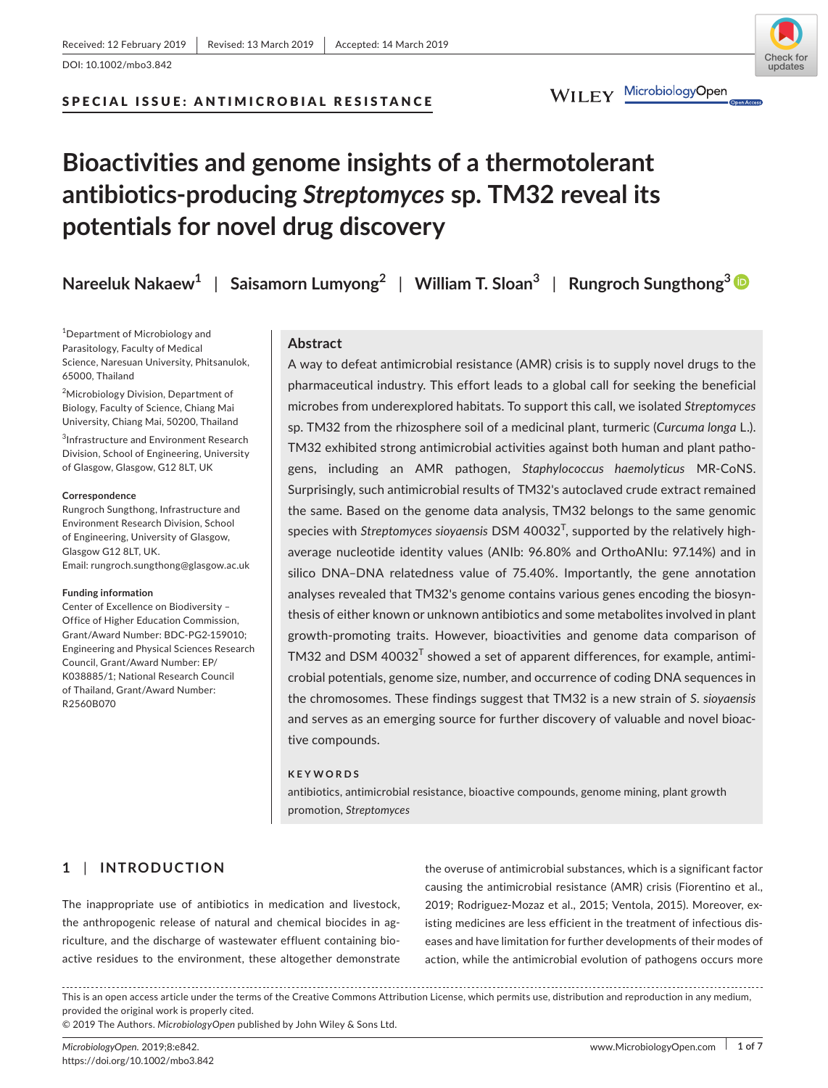## SPECIAL ISSUE: ANTIMICROBIAL RESISTANCE



# **Bioactivities and genome insights of a thermotolerant antibiotics‐producing** *Streptomyces* **sp. TM32 reveal its potentials for novel drug discovery**

**Nareeluk Nakaew<sup>1</sup>** | **Saisamorn Lumyong<sup>2</sup>** | **William T. Sloan3** | **Rungroch Sungthong3**

1 Department of Microbiology and Parasitology, Faculty of Medical Science, Naresuan University, Phitsanulok, 65000, Thailand

<sup>2</sup>Microbiology Division, Department of Biology, Faculty of Science, Chiang Mai University, Chiang Mai, 50200, Thailand

3 Infrastructure and Environment Research Division, School of Engineering, University of Glasgow, Glasgow, G12 8LT, UK

#### **Correspondence**

Rungroch Sungthong, Infrastructure and Environment Research Division, School of Engineering, University of Glasgow, Glasgow G12 8LT, UK. Email: [rungroch.sungthong@glasgow.ac.uk](mailto:rungroch.sungthong@glasgow.ac.uk)

#### **Funding information**

Center of Excellence on Biodiversity – Office of Higher Education Commission, Grant/Award Number: BDC-PG2-159010; Engineering and Physical Sciences Research Council, Grant/Award Number: EP/ K038885/1; National Research Council of Thailand, Grant/Award Number: R2560B070

## **Abstract**

A way to defeat antimicrobial resistance (AMR) crisis is to supply novel drugs to the pharmaceutical industry. This effort leads to a global call for seeking the beneficial microbes from underexplored habitats. To support this call, we isolated *Streptomyces* sp. TM32 from the rhizosphere soil of a medicinal plant, turmeric (*Curcuma longa* L.). TM32 exhibited strong antimicrobial activities against both human and plant patho‐ gens, including an AMR pathogen, *Staphylococcus haemolyticus* MR‐CoNS. Surprisingly, such antimicrobial results of TM32's autoclaved crude extract remained the same. Based on the genome data analysis, TM32 belongs to the same genomic species with *Streptomyces sioyaensis* DSM 40032<sup>T</sup> , supported by the relatively high‐ average nucleotide identity values (ANIb: 96.80% and OrthoANIu: 97.14%) and in silico DNA–DNA relatedness value of 75.40%. Importantly, the gene annotation analyses revealed that TM32's genome contains various genes encoding the biosyn‐ thesis of either known or unknown antibiotics and some metabolites involved in plant growth‐promoting traits. However, bioactivities and genome data comparison of TM32 and DSM 40032 $^{\mathsf{T}}$  showed a set of apparent differences, for example, antimicrobial potentials, genome size, number, and occurrence of coding DNA sequences in the chromosomes. These findings suggest that TM32 is a new strain of *S*. *sioyaensis* and serves as an emerging source for further discovery of valuable and novel bioac‐ tive compounds.

## **KEYWORDS**

antibiotics, antimicrobial resistance, bioactive compounds, genome mining, plant growth promotion, *Streptomyces*

# **1** | **INTRODUCTION**

The inappropriate use of antibiotics in medication and livestock, the anthropogenic release of natural and chemical biocides in agriculture, and the discharge of wastewater effluent containing bio‐ active residues to the environment, these altogether demonstrate the overuse of antimicrobial substances, which is a significant factor causing the antimicrobial resistance (AMR) crisis (Fiorentino et al., 2019; Rodriguez‐Mozaz et al., 2015; Ventola, 2015). Moreover, ex‐ isting medicines are less efficient in the treatment of infectious dis‐ eases and have limitation for further developments of their modes of action, while the antimicrobial evolution of pathogens occurs more

This is an open access article under the terms of the [Creative Commons Attribution](http://creativecommons.org/licenses/by/4.0/) License, which permits use, distribution and reproduction in any medium, provided the original work is properly cited.

© 2019 The Authors. *MicrobiologyOpen* published by John Wiley & Sons Ltd.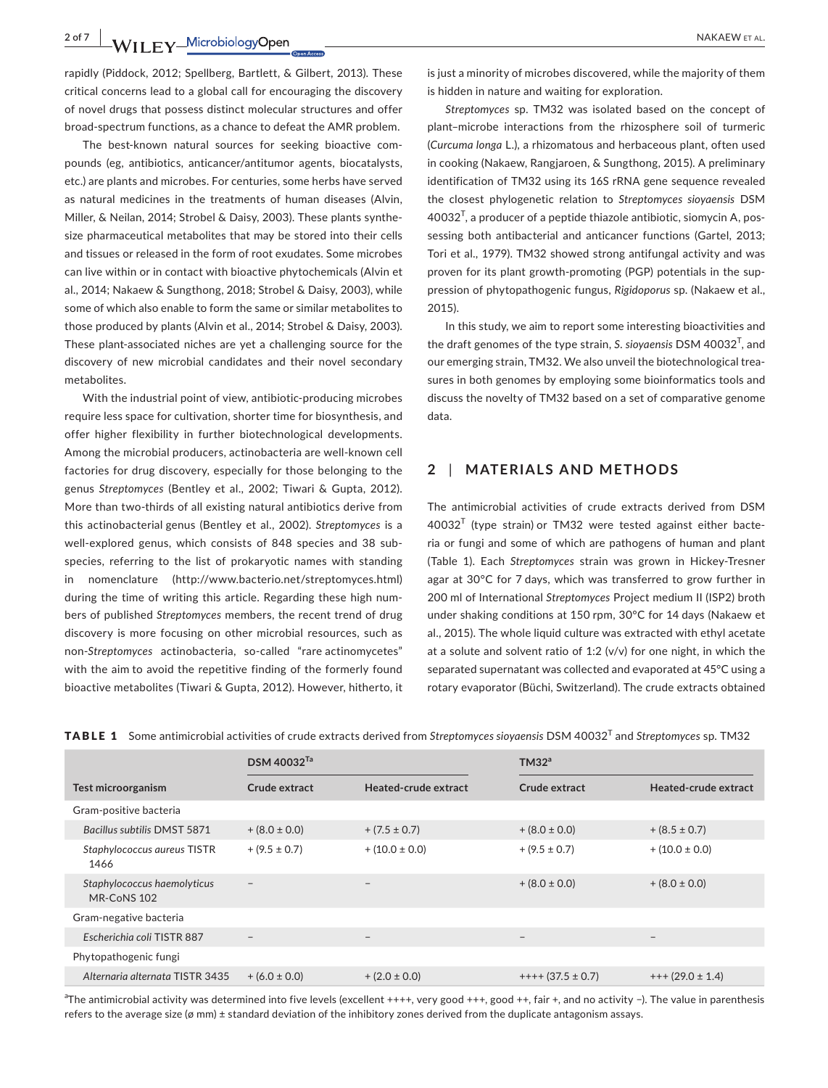**2 of 7 WILEY Microbiology Open** 2017 **WILEY MAKAEW ET AL.** 

rapidly (Piddock, 2012; Spellberg, Bartlett, & Gilbert, 2013). These critical concerns lead to a global call for encouraging the discovery of novel drugs that possess distinct molecular structures and offer broad‐spectrum functions, as a chance to defeat the AMR problem.

The best-known natural sources for seeking bioactive compounds (eg, antibiotics, anticancer/antitumor agents, biocatalysts, etc.) are plants and microbes. For centuries, some herbs have served as natural medicines in the treatments of human diseases (Alvin, Miller, & Neilan, 2014; Strobel & Daisy, 2003). These plants synthe‐ size pharmaceutical metabolites that may be stored into their cells and tissues or released in the form of root exudates. Some microbes can live within or in contact with bioactive phytochemicals (Alvin et al., 2014; Nakaew & Sungthong, 2018; Strobel & Daisy, 2003), while some of which also enable to form the same or similar metabolites to those produced by plants (Alvin et al., 2014; Strobel & Daisy, 2003). These plant-associated niches are yet a challenging source for the discovery of new microbial candidates and their novel secondary metabolites.

With the industrial point of view, antibiotic‐producing microbes require less space for cultivation, shorter time for biosynthesis, and offer higher flexibility in further biotechnological developments. Among the microbial producers, actinobacteria are well‐known cell factories for drug discovery, especially for those belonging to the genus *Streptomyces* (Bentley et al., 2002; Tiwari & Gupta, 2012). More than two-thirds of all existing natural antibiotics derive from this actinobacterial genus (Bentley et al., 2002). *Streptomyces* is a well-explored genus, which consists of 848 species and 38 subspecies, referring to the list of prokaryotic names with standing in nomenclature [\(http://www.bacterio.net/streptomyces.html](http://www.bacterio.net/streptomyces.html)) during the time of writing this article. Regarding these high num‐ bers of published *Streptomyces* members, the recent trend of drug discovery is more focusing on other microbial resources, such as non‐*Streptomyces* actinobacteria, so‐called "rare actinomycetes" with the aim to avoid the repetitive finding of the formerly found bioactive metabolites (Tiwari & Gupta, 2012). However, hitherto, it is just a minority of microbes discovered, while the majority of them is hidden in nature and waiting for exploration.

*Streptomyces* sp. TM32 was isolated based on the concept of plant–microbe interactions from the rhizosphere soil of turmeric (*Curcuma longa* L.), a rhizomatous and herbaceous plant, often used in cooking (Nakaew, Rangjaroen, & Sungthong, 2015). A preliminary identification of TM32 using its 16S rRNA gene sequence revealed the closest phylogenetic relation to *Streptomyces sioyaensis* DSM  $40032<sup>T</sup>$ , a producer of a peptide thiazole antibiotic, siomycin A, possessing both antibacterial and anticancer functions (Gartel, 2013; Tori et al., 1979). TM32 showed strong antifungal activity and was proven for its plant growth-promoting (PGP) potentials in the suppression of phytopathogenic fungus, *Rigidoporus* sp. (Nakaew et al., 2015).

In this study, we aim to report some interesting bioactivities and the draft genomes of the type strain, *S*. *sioyaensis* DSM 40032<sup>T</sup> , and our emerging strain, TM32. We also unveil the biotechnological trea‐ sures in both genomes by employing some bioinformatics tools and discuss the novelty of TM32 based on a set of comparative genome data.

# **2** | **MATERIALS AND METHODS**

The antimicrobial activities of crude extracts derived from DSM  $40032<sup>T</sup>$  (type strain) or TM32 were tested against either bacteria or fungi and some of which are pathogens of human and plant (Table 1). Each *Streptomyces* strain was grown in Hickey‐Tresner agar at 30°C for 7 days, which was transferred to grow further in 200 ml of International *Streptomyces* Project medium II (ISP2) broth under shaking conditions at 150 rpm, 30°C for 14 days (Nakaew et al., 2015). The whole liquid culture was extracted with ethyl acetate at a solute and solvent ratio of 1:2  $(v/v)$  for one night, in which the separated supernatant was collected and evaporated at 45°C using a rotary evaporator (Büchi, Switzerland). The crude extracts obtained

| <code>TABLE 1 </code> Some antimicrobial activities of crude extracts derived from Streptomyces sioyaensis DSM 40032 <sup>T</sup> and Streptomyces sp. TM32 |  |
|-------------------------------------------------------------------------------------------------------------------------------------------------------------|--|
|-------------------------------------------------------------------------------------------------------------------------------------------------------------|--|

|                                            | DSM 40032 <sup>Ta</sup> |                          | TM32 <sup>a</sup>       |                      |
|--------------------------------------------|-------------------------|--------------------------|-------------------------|----------------------|
| Test microorganism                         | Crude extract           | Heated-crude extract     | Crude extract           | Heated-crude extract |
| Gram-positive bacteria                     |                         |                          |                         |                      |
| <b>Bacillus subtilis DMST 5871</b>         | $+(8.0 \pm 0.0)$        | $+(7.5 \pm 0.7)$         | $+(8.0 \pm 0.0)$        | $+(8.5 \pm 0.7)$     |
| Staphylococcus aureus TISTR<br>1466        | $+(9.5 \pm 0.7)$        | $+(10.0 \pm 0.0)$        | $+ (9.5 \pm 0.7)$       | $+(10.0 \pm 0.0)$    |
| Staphylococcus haemolyticus<br>MR-CoNS 102 | $\qquad \qquad -$       | $\overline{\phantom{m}}$ | $+(8.0 \pm 0.0)$        | $+(8.0 \pm 0.0)$     |
| Gram-negative bacteria                     |                         |                          |                         |                      |
| Escherichia coli TISTR 887                 |                         | $\qquad \qquad -$        | $-$                     | $\qquad \qquad -$    |
| Phytopathogenic fungi                      |                         |                          |                         |                      |
| Alternaria alternata TISTR 3435            | $+(6.0 \pm 0.0)$        | $+(2.0 \pm 0.0)$         | $++++$ (37.5 $\pm$ 0.7) | $+++(29.0 \pm 1.4)$  |

a<br>The antimicrobial activity was determined into five levels (excellent ++++, very good +++, good ++, fair +, and no activity −). The value in parenthesis refers to the average size (ø mm) ± standard deviation of the inhibitory zones derived from the duplicate antagonism assays.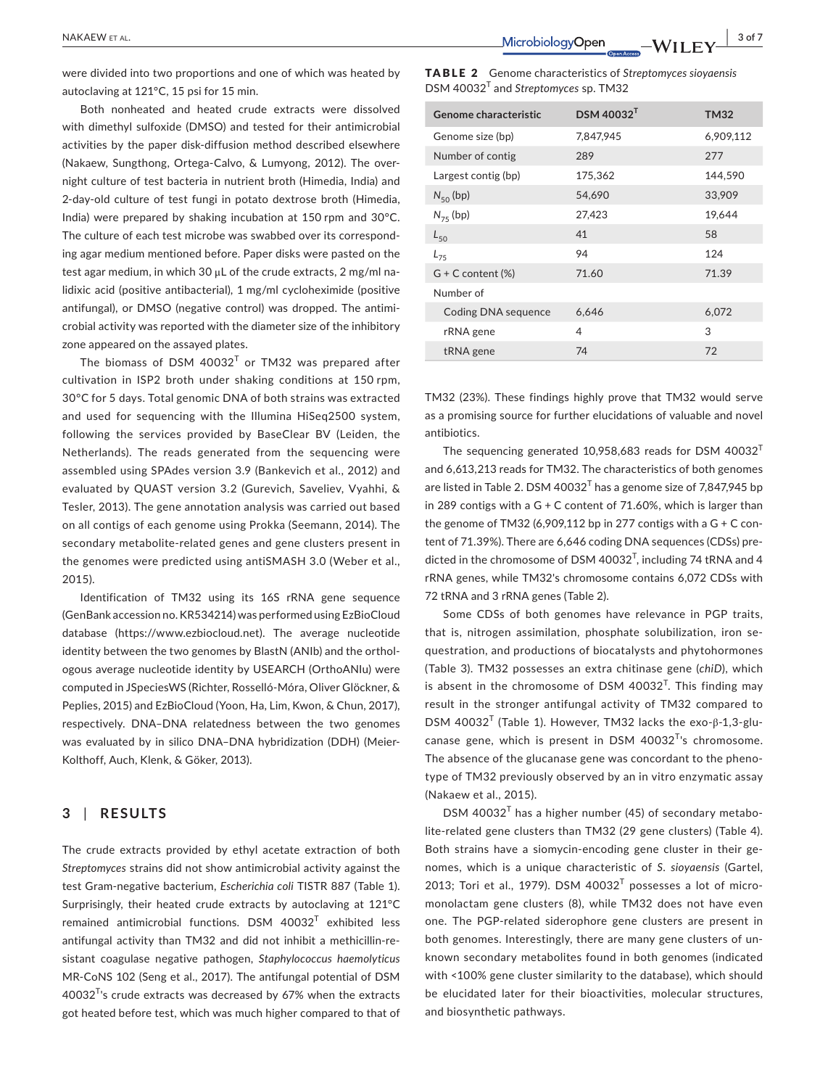were divided into two proportions and one of which was heated by autoclaving at 121°C, 15 psi for 15 min.

Both nonheated and heated crude extracts were dissolved with dimethyl sulfoxide (DMSO) and tested for their antimicrobial activities by the paper disk‐diffusion method described elsewhere (Nakaew, Sungthong, Ortega‐Calvo, & Lumyong, 2012). The over‐ night culture of test bacteria in nutrient broth (Himedia, India) and 2‐day‐old culture of test fungi in potato dextrose broth (Himedia, India) were prepared by shaking incubation at 150 rpm and 30°C. The culture of each test microbe was swabbed over its correspond‐ ing agar medium mentioned before. Paper disks were pasted on the test agar medium, in which 30 μL of the crude extracts, 2 mg/ml nalidixic acid (positive antibacterial), 1 mg/ml cycloheximide (positive antifungal), or DMSO (negative control) was dropped. The antimi‐ crobial activity was reported with the diameter size of the inhibitory zone appeared on the assayed plates.

The biomass of DSM  $40032<sup>T</sup>$  or TM32 was prepared after cultivation in ISP2 broth under shaking conditions at 150 rpm, 30°C for 5 days. Total genomic DNA of both strains was extracted and used for sequencing with the Illumina HiSeq2500 system, following the services provided by BaseClear BV (Leiden, the Netherlands). The reads generated from the sequencing were assembled using SPAdes version 3.9 (Bankevich et al., 2012) and evaluated by QUAST version 3.2 (Gurevich, Saveliev, Vyahhi, & Tesler, 2013). The gene annotation analysis was carried out based on all contigs of each genome using Prokka (Seemann, 2014). The secondary metabolite‐related genes and gene clusters present in the genomes were predicted using antiSMASH 3.0 (Weber et al., 2015).

Identification of TM32 using its 16S rRNA gene sequence (GenBank accession no. KR534214) was performed using EzBioCloud database ([https://www.ezbiocloud.net\)](https://www.ezbiocloud.net). The average nucleotide identity between the two genomes by BlastN (ANIb) and the orthologous average nucleotide identity by USEARCH (OrthoANIu) were computed in JSpeciesWS (Richter, Rosselló‐Móra, Oliver Glöckner, & Peplies, 2015) and EzBioCloud (Yoon, Ha, Lim, Kwon, & Chun, 2017), respectively. DNA–DNA relatedness between the two genomes was evaluated by in silico DNA–DNA hybridization (DDH) (Meier‐ Kolthoff, Auch, Klenk, & Göker, 2013).

# **3** | **RESULTS**

The crude extracts provided by ethyl acetate extraction of both *Streptomyces* strains did not show antimicrobial activity against the test Gram‐negative bacterium, *Escherichia coli* TISTR 887 (Table 1). Surprisingly, their heated crude extracts by autoclaving at 121°C remained antimicrobial functions. DSM 40032 $^{\intercal}$  exhibited less antifungal activity than TM32 and did not inhibit a methicillin‐re‐ sistant coagulase negative pathogen, *Staphylococcus haemolyticus* MR‐CoNS 102 (Seng et al., 2017). The antifungal potential of DSM  $40032^{\text{T}}$ 's crude extracts was decreased by 67% when the extracts got heated before test, which was much higher compared to that of

TABLE 2 Genome characteristics of *Streptomyces sioyaensis* DSM 40032<sup>T</sup> and *Streptomyces* sp. TM32

| Genome characteristic  | $DSM$ 40032 <sup>T</sup> | <b>TM32</b> |
|------------------------|--------------------------|-------------|
| Genome size (bp)       | 7,847,945                | 6,909,112   |
| Number of contig       | 289                      | 277         |
| Largest contig (bp)    | 175,362                  | 144,590     |
| $N_{50}$ (bp)          | 54,690                   | 33,909      |
| $N_{75}$ (bp)          | 27,423                   | 19,644      |
| $L_{50}$               | 41                       | 58          |
| $L_{75}$               | 94                       | 124         |
| $G + C$ content $(\%)$ | 71.60                    | 71.39       |
| Number of              |                          |             |
| Coding DNA sequence    | 6,646                    | 6,072       |
| rRNA gene              | 4                        | 3           |
| tRNA gene              | 74                       | 72          |
|                        |                          |             |

TM32 (23%). These findings highly prove that TM32 would serve as a promising source for further elucidations of valuable and novel antibiotics.

The sequencing generated 10,958,683 reads for DSM 40032 $^T$ and 6,613,213 reads for TM32. The characteristics of both genomes are listed in Table 2. DSM  $40032^T$  has a genome size of 7,847,945 bp in 289 contigs with a  $G + C$  content of 71.60%, which is larger than the genome of TM32 (6,909,112 bp in 277 contigs with a  $G + C$  content of 71.39%). There are 6,646 coding DNA sequences (CDSs) pre‐ dicted in the chromosome of DSM 40032<sup>T</sup>, including 74 tRNA and 4 rRNA genes, while TM32's chromosome contains 6,072 CDSs with 72 tRNA and 3 rRNA genes (Table 2).

Some CDSs of both genomes have relevance in PGP traits, that is, nitrogen assimilation, phosphate solubilization, iron se‐ questration, and productions of biocatalysts and phytohormones (Table 3). TM32 possesses an extra chitinase gene (*chiD*), which is absent in the chromosome of DSM  $40032^T$ . This finding may result in the stronger antifungal activity of TM32 compared to DSM 40032<sup>T</sup> (Table 1). However, TM32 lacks the exo-β-1,3-glucanase gene, which is present in DSM  $40032<sup>T</sup>$ 's chromosome. The absence of the glucanase gene was concordant to the pheno‐ type of TM32 previously observed by an in vitro enzymatic assay (Nakaew et al., 2015).

 $DSM$  40032<sup>T</sup> has a higher number (45) of secondary metabolite-related gene clusters than TM32 (29 gene clusters) (Table 4). Both strains have a siomycin-encoding gene cluster in their genomes, which is a unique characteristic of *S*. *sioyaensis* (Gartel, 2013; Tori et al., 1979). DSM  $40032<sup>T</sup>$  possesses a lot of micromonolactam gene clusters (8), while TM32 does not have even one. The PGP‐related siderophore gene clusters are present in both genomes. Interestingly, there are many gene clusters of un‐ known secondary metabolites found in both genomes (indicated with <100% gene cluster similarity to the database), which should be elucidated later for their bioactivities, molecular structures, and biosynthetic pathways.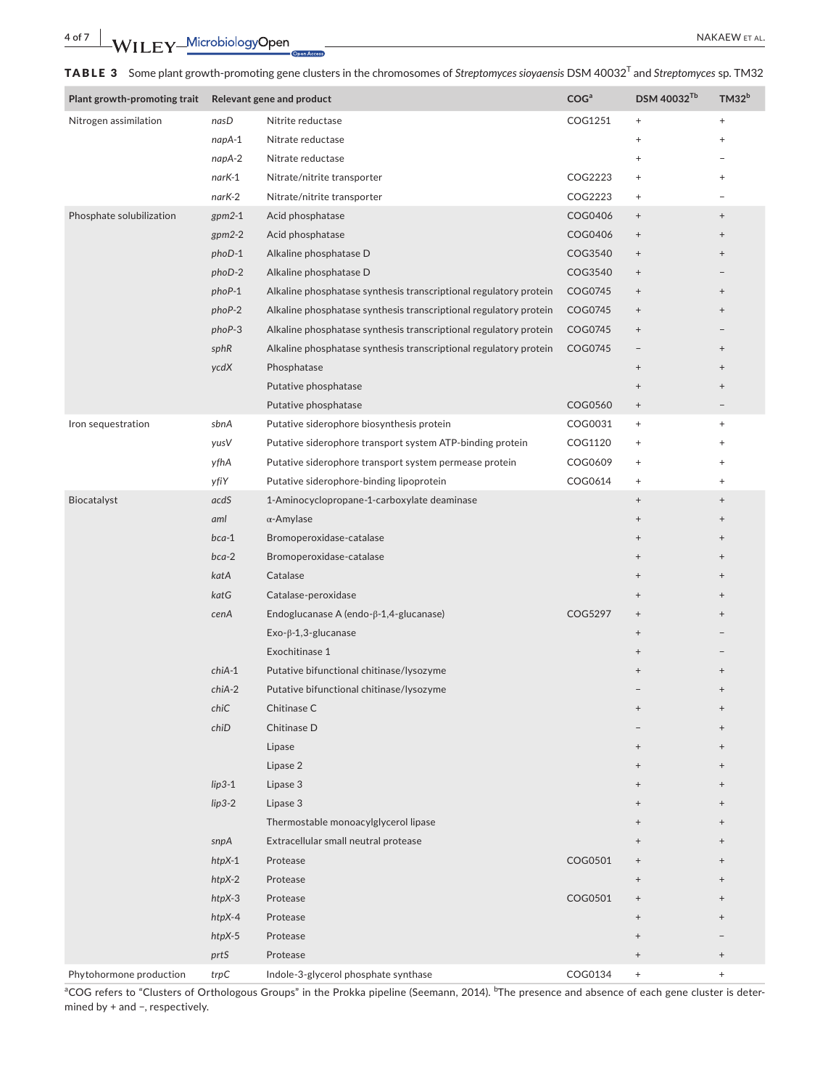TABLE 3 Some plant growth‐promoting gene clusters in the chromosomes of *Streptomyces sioyaensis* DSM 40032T and *Streptomyces* sp. TM32

| Plant growth-promoting trait | Relevant gene and product |                                                                   | COG <sup>a</sup> | DSM 40032 <sup>Tb</sup>          | TM32 <sup>b</sup>                |
|------------------------------|---------------------------|-------------------------------------------------------------------|------------------|----------------------------------|----------------------------------|
| Nitrogen assimilation        | nasD                      | Nitrite reductase                                                 | COG1251          | $^+$                             | $^+$                             |
|                              | napA-1                    | Nitrate reductase                                                 |                  | $\ddot{}$                        | $\begin{array}{c} + \end{array}$ |
|                              | napA-2                    | Nitrate reductase                                                 |                  | $^{+}$                           |                                  |
|                              | narK-1                    | Nitrate/nitrite transporter                                       | COG2223          | $^+$                             | $\begin{array}{c} + \end{array}$ |
|                              | narK-2                    | Nitrate/nitrite transporter                                       | COG2223          | $^{+}$                           |                                  |
| Phosphate solubilization     | $gpm2-1$                  | Acid phosphatase                                                  | COG0406          | $\begin{array}{c} + \end{array}$ | $^{+}$                           |
|                              | $gpm2-2$                  | Acid phosphatase                                                  | COG0406          | $^+$                             | $^{+}$                           |
|                              | phoD-1                    | Alkaline phosphatase D                                            | COG3540          | $^{\mathrm{+}}$                  | $^{+}$                           |
|                              | phoD-2                    | Alkaline phosphatase D                                            | COG3540          | $^{\mathrm{+}}$                  |                                  |
|                              | phoP-1                    | Alkaline phosphatase synthesis transcriptional regulatory protein | COG0745          | $^+$                             | $^{+}$                           |
|                              | phoP-2                    | Alkaline phosphatase synthesis transcriptional regulatory protein | COG0745          | $^+$                             | $^{+}$                           |
|                              | phoP-3                    | Alkaline phosphatase synthesis transcriptional regulatory protein | COG0745          | $^+$                             |                                  |
|                              | sphR                      | Alkaline phosphatase synthesis transcriptional regulatory protein | COG0745          |                                  | $\begin{array}{c} + \end{array}$ |
|                              | ycdX                      | Phosphatase                                                       |                  | $^+$                             | $\begin{array}{c} + \end{array}$ |
|                              |                           | Putative phosphatase                                              |                  | $^{\mathrm{+}}$                  | $^{+}$                           |
|                              |                           | Putative phosphatase                                              | COG0560          | $^+$                             |                                  |
| Iron sequestration           | sbnA                      | Putative siderophore biosynthesis protein                         | COG0031          | $^+$                             | $^{+}$                           |
|                              | yusV                      | Putative siderophore transport system ATP-binding protein         | COG1120          | $\begin{array}{c} + \end{array}$ | $\ddot{}$                        |
|                              | yfhA                      | Putative siderophore transport system permease protein            | COG0609          | $\begin{array}{c} + \end{array}$ | $\ddot{}$                        |
|                              | yfiY                      | Putative siderophore-binding lipoprotein                          | COG0614          | $\begin{array}{c} + \end{array}$ | $^{+}$                           |
| Biocatalyst                  | acdS                      | 1-Aminocyclopropane-1-carboxylate deaminase                       |                  | $^+$                             | $\begin{array}{c} + \end{array}$ |
|                              | aml                       | $\alpha$ -Amylase                                                 |                  | $^+$                             | $\begin{array}{c} + \end{array}$ |
|                              | $bca-1$                   | Bromoperoxidase-catalase                                          |                  | $^+$                             | $^{+}$                           |
|                              | $bca-2$                   | Bromoperoxidase-catalase                                          |                  | $^+$                             | $^{+}$                           |
|                              | katA                      | Catalase                                                          |                  | $^+$                             | $^{+}$                           |
|                              | katG                      | Catalase-peroxidase                                               |                  | $^+$                             | $^{+}$                           |
|                              | cenA                      | Endoglucanase A (endo- $\beta$ -1,4-glucanase)                    | COG5297          | $^+$                             | $^{+}$                           |
|                              |                           | $Exo-\beta-1,3$ -glucanase                                        |                  | $^{+}$                           |                                  |
|                              |                           | Exochitinase 1                                                    |                  | $^{+}$                           |                                  |
|                              | $chiA-1$                  | Putative bifunctional chitinase/lysozyme                          |                  | $^{+}$                           | $^{+}$                           |
|                              | chiA-2                    | Putative bifunctional chitinase/lysozyme                          |                  |                                  | $^{+}$                           |
|                              | chiC                      | Chitinase C                                                       |                  |                                  |                                  |
|                              | chiD                      | Chitinase D                                                       |                  |                                  | $^{+}$                           |
|                              |                           | Lipase                                                            |                  | $^+$                             | $\overline{+}$                   |
|                              |                           | Lipase 2                                                          |                  | $\begin{array}{c} + \end{array}$ | $^{+}$                           |
|                              | $lip3-1$                  | Lipase 3                                                          |                  | $^+$                             | $\overline{+}$                   |
|                              | $lip3-2$                  | Lipase 3                                                          |                  | $\begin{array}{c} + \end{array}$ | $^{+}$                           |
|                              |                           | Thermostable monoacylglycerol lipase                              |                  | $^{+}$                           | $\overline{+}$                   |
|                              | snpA                      | Extracellular small neutral protease                              |                  | $^{+}$                           | $^{+}$                           |
|                              | $htpX-1$                  | Protease                                                          | COG0501          | $^{+}$                           | $^{+}$                           |
|                              | $htpX-2$                  | Protease                                                          |                  | $^+$                             | $^{+}$                           |
|                              | $htpX-3$                  | Protease                                                          | COG0501          | $^{+}$                           | $^{+}$                           |
|                              | $htpX-4$                  | Protease                                                          |                  | $\begin{array}{c} + \end{array}$ | $^{+}$                           |
|                              | $htpX-5$                  | Protease                                                          |                  | $\begin{array}{c} + \end{array}$ |                                  |
|                              | prtS                      | Protease                                                          |                  | $^+$                             | $\begin{array}{c} + \end{array}$ |
| Phytohormone production      | trpC                      | Indole-3-glycerol phosphate synthase                              | COG0134          | $^+$                             | $^+$                             |

aCOG refers to "Clusters of Orthologous Groups" in the Prokka pipeline (Seemann, 2014). <sup>b</sup>The presence and absence of each gene cluster is determined by + and −, respectively.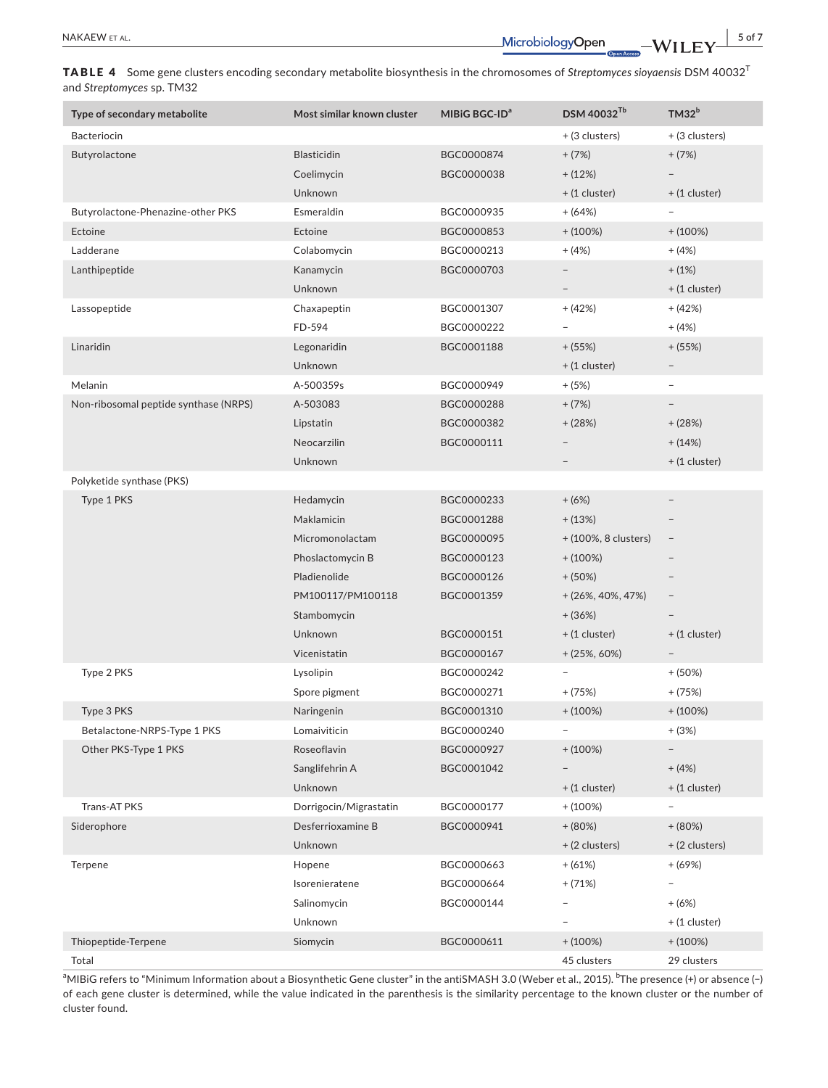TABLE 4 Some gene clusters encoding secondary metabolite biosynthesis in the chromosomes of *Streptomyces sioyaensis* DSM 40032<sup>T</sup> and *Streptomyces* sp. TM32

| Type of secondary metabolite          | Most similar known cluster | MIBIG BGC-ID <sup>a</sup> | DSM 40032 <sup>Tb</sup>  | TM32 <sup>b</sup>        |
|---------------------------------------|----------------------------|---------------------------|--------------------------|--------------------------|
| Bacteriocin                           |                            |                           | + (3 clusters)           | + (3 clusters)           |
| Butyrolactone                         | <b>Blasticidin</b>         | BGC0000874                | $+ (7%)$                 | $+(7%)$                  |
|                                       | Coelimycin                 | BGC0000038                | $+ (12%)$                |                          |
|                                       | Unknown                    |                           | $+$ (1 cluster)          | $+$ (1 cluster)          |
| Butyrolactone-Phenazine-other PKS     | Esmeraldin                 | BGC0000935                | $+ (64%)$                |                          |
| Ectoine                               | Ectoine                    | BGC0000853                | $+ (100\%)$              | $+ (100\%)$              |
| Ladderane                             | Colabomycin                | BGC0000213                | $+ (4%)$                 | $+ (4%)$                 |
| Lanthipeptide                         | Kanamycin                  | BGC0000703                |                          | $+ (1%)$                 |
|                                       | Unknown                    |                           | $\qquad \qquad -$        | $+$ (1 cluster)          |
| Lassopeptide                          | Chaxapeptin                | BGC0001307                | $+ (42%)$                | $+ (42%)$                |
|                                       | FD-594                     | BGC0000222                | $\overline{\phantom{0}}$ | $+ (4%)$                 |
| Linaridin                             | Legonaridin                | BGC0001188                | $+ (55%)$                | $+ (55%)$                |
|                                       | Unknown                    |                           | $+$ (1 cluster)          |                          |
| Melanin                               | A-500359s                  | BGC0000949                | $+ (5%)$                 | $\overline{\phantom{a}}$ |
| Non-ribosomal peptide synthase (NRPS) | A-503083                   | BGC0000288                | $+ (7%)$                 |                          |
|                                       | Lipstatin                  | BGC0000382                | $+ (28%)$                | $+ (28%)$                |
|                                       | Neocarzilin                | BGC0000111                |                          | $+ (14%)$                |
|                                       | Unknown                    |                           |                          | $+$ (1 cluster)          |
| Polyketide synthase (PKS)             |                            |                           |                          |                          |
| Type 1 PKS                            | Hedamycin                  | BGC0000233                | $+(6%)$                  |                          |
|                                       | <b>Maklamicin</b>          | BGC0001288                | $+ (13%)$                |                          |
|                                       | Micromonolactam            | BGC0000095                | + (100%, 8 clusters)     | $\overline{\phantom{a}}$ |
|                                       | Phoslactomycin B           | BGC0000123                | $+ (100\%)$              |                          |
|                                       | Pladienolide               | BGC0000126                | $+ (50\%)$               |                          |
|                                       | PM100117/PM100118          | BGC0001359                | $+ (26\%, 40\%, 47\%)$   |                          |
|                                       | Stambomycin                |                           | $+ (36%)$                |                          |
|                                       | Unknown                    | BGC0000151                | $+$ (1 cluster)          | $+$ (1 cluster)          |
|                                       | Vicenistatin               | BGC0000167                | $+ (25\%, 60\%)$         | $\overline{\phantom{a}}$ |
| Type 2 PKS                            | Lysolipin                  | BGC0000242                |                          | $+ (50%)$                |
|                                       | Spore pigment              | BGC0000271                | $+ (75%)$                | $+ (75%)$                |
| Type 3 PKS                            | Naringenin                 | BGC0001310                | $+ (100\%)$              | $+ (100\%)$              |
| Betalactone-NRPS-Type 1 PKS           | Lomaiviticin               | BGC0000240                | $\overline{\phantom{a}}$ | $+ (3%)$                 |
| Other PKS-Type 1 PKS                  | Roseoflavin                | BGC0000927                | $+ (100\%)$              |                          |
|                                       | Sanglifehrin A             | BGC0001042                |                          | $+ (4%)$                 |
|                                       | Unknown                    |                           | $+ (1$ cluster)          | $+ (1$ cluster)          |
| Trans-AT PKS                          | Dorrigocin/Migrastatin     | BGC0000177                | $+ (100\%)$              |                          |
| Siderophore                           | Desferrioxamine B          | BGC0000941                | $+ (80%)$                | $+ (80%)$                |
|                                       | Unknown                    |                           | + (2 clusters)           | + (2 clusters)           |
| Terpene                               | Hopene                     | BGC0000663                | $+ (61%)$                | $+ (69%)$                |
|                                       | Isorenieratene             | BGC0000664                | $+ (71%)$                |                          |
|                                       | Salinomycin                | BGC0000144                |                          | $+ (6%)$                 |
|                                       | Unknown                    |                           |                          | $+$ (1 cluster)          |
| Thiopeptide-Terpene                   | Siomycin                   | BGC0000611                | $+ (100\%)$              | $+ (100\%)$              |
| Total                                 |                            |                           | 45 clusters              | 29 clusters              |

aMIBiG refers to "Minimum Information about a Biosynthetic Gene cluster" in the antiSMASH 3.0 (Weber et al., 2015). <sup>b</sup>The presence (+) or absence (−) of each gene cluster is determined, while the value indicated in the parenthesis is the similarity percentage to the known cluster or the number of cluster found.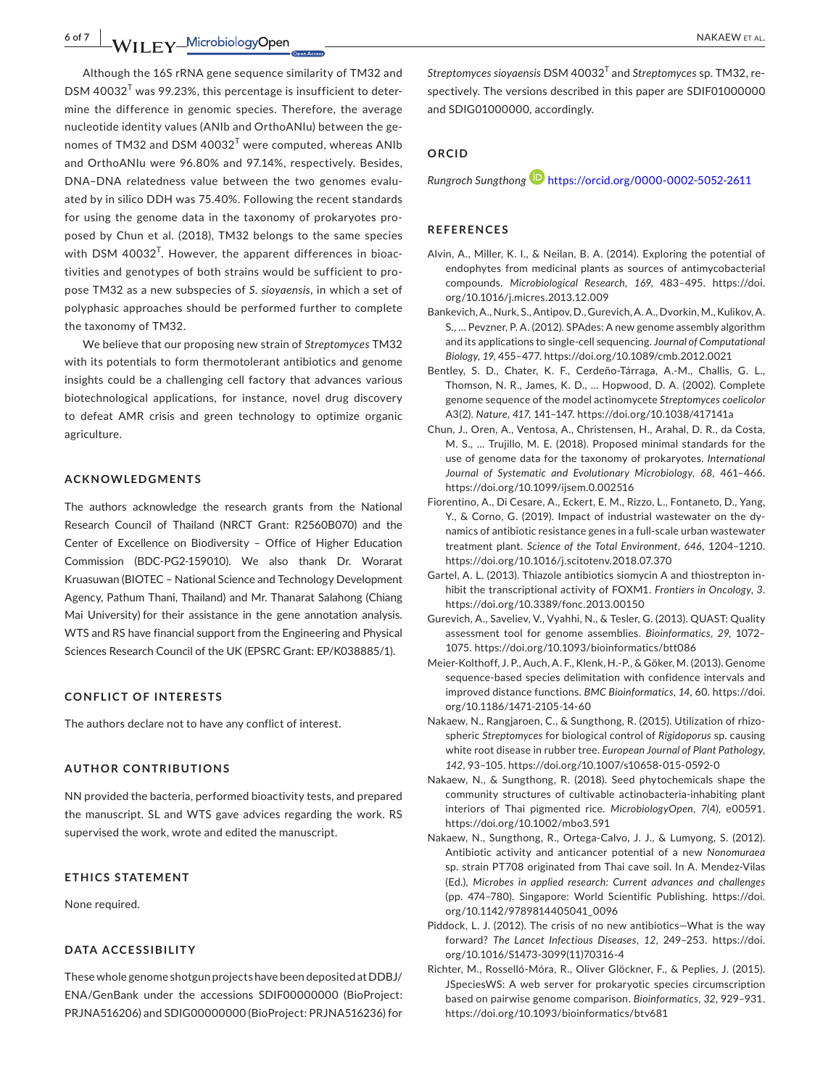**6 of 7 WII EV** Microbiology Open **ALL 2008 CONSUMER ALL 2009 NAKAEW ET AL.** 

Although the 16S rRNA gene sequence similarity of TM32 and  $DSM$  40032<sup>T</sup> was 99.23%, this percentage is insufficient to determine the difference in genomic species. Therefore, the average nucleotide identity values (ANIb and OrthoANIu) between the ge‐ nomes of TM32 and DSM  $40032^T$  were computed, whereas ANIb and OrthoANIu were 96.80% and 97.14%, respectively. Besides, DNA–DNA relatedness value between the two genomes evalu‐ ated by in silico DDH was 75.40%. Following the recent standards for using the genome data in the taxonomy of prokaryotes pro‐ posed by Chun et al. (2018), TM32 belongs to the same species with DSM 40032<sup>T</sup>. However, the apparent differences in bioactivities and genotypes of both strains would be sufficient to pro‐ pose TM32 as a new subspecies of *S*. *sioyaensis*, in which a set of polyphasic approaches should be performed further to complete the taxonomy of TM32.

We believe that our proposing new strain of *Streptomyces* TM32 with its potentials to form thermotolerant antibiotics and genome insights could be a challenging cell factory that advances various biotechnological applications, for instance, novel drug discovery to defeat AMR crisis and green technology to optimize organic agriculture.

#### **ACKNOWLEDGMENTS**

The authors acknowledge the research grants from the National Research Council of Thailand (NRCT Grant: R2560B070) and the Center of Excellence on Biodiversity – Office of Higher Education Commission (BDC‐PG2‐159010). We also thank Dr. Worarat Kruasuwan (BIOTEC – National Science and Technology Development Agency, Pathum Thani, Thailand) and Mr. Thanarat Salahong (Chiang Mai University) for their assistance in the gene annotation analysis. WTS and RS have financial support from the Engineering and Physical Sciences Research Council of the UK (EPSRC Grant: EP/K038885/1).

### **CONFLICT OF INTERESTS**

The authors declare not to have any conflict of interest.

## **AUTHOR CONTRIBUTIONS**

NN provided the bacteria, performed bioactivity tests, and prepared the manuscript. SL and WTS gave advices regarding the work. RS supervised the work, wrote and edited the manuscript.

#### **ETHICS STATEMENT**

None required.

#### **DATA ACCESSIBILITY**

These whole genome shotgun projects have been deposited at DDBJ/ ENA/GenBank under the accessions SDIF00000000 (BioProject: PRJNA516206) and SDIG00000000 (BioProject: PRJNA516236) for *Streptomyces sioyaensis* DSM 40032<sup>T</sup> and *Streptomyces* sp. TM32, re‐ spectively. The versions described in this paper are SDIF01000000 and SDIG01000000, accordingly.

# **ORCID**

*Rungroch Sungthong* <https://orcid.org/0000-0002-5052-2611>

#### **REFERENCES**

- Alvin, A., Miller, K. I., & Neilan, B. A. (2014). Exploring the potential of endophytes from medicinal plants as sources of antimycobacterial compounds. *Microbiological Research*, *169*, 483–495. [https://doi.](https://doi.org/10.1016/j.micres.2013.12.009) [org/10.1016/j.micres.2013.12.009](https://doi.org/10.1016/j.micres.2013.12.009)
- Bankevich, A., Nurk, S., Antipov, D., Gurevich, A. A., Dvorkin, M., Kulikov, A. S., … Pevzner, P. A. (2012). SPAdes: A new genome assembly algorithm and its applications to single‐cell sequencing. *Journal of Computational Biology*, *19*, 455–477. <https://doi.org/10.1089/cmb.2012.0021>
- Bentley, S. D., Chater, K. F., Cerdeño‐Tárraga, A.‐M., Challis, G. L., Thomson, N. R., James, K. D., … Hopwood, D. A. (2002). Complete genome sequence of the model actinomycete *Streptomyces coelicolor* A3(2). *Nature*, *417*, 141–147.<https://doi.org/10.1038/417141a>
- Chun, J., Oren, A., Ventosa, A., Christensen, H., Arahal, D. R., da Costa, M. S., … Trujillo, M. E. (2018). Proposed minimal standards for the use of genome data for the taxonomy of prokaryotes. *International Journal of Systematic and Evolutionary Microbiology*, *68*, 461–466. <https://doi.org/10.1099/ijsem.0.002516>
- Fiorentino, A., Di Cesare, A., Eckert, E. M., Rizzo, L., Fontaneto, D., Yang, Y., & Corno, G. (2019). Impact of industrial wastewater on the dy‐ namics of antibiotic resistance genes in a full‐scale urban wastewater treatment plant. *Science of the Total Environment*, *646*, 1204–1210. <https://doi.org/10.1016/j.scitotenv.2018.07.370>
- Gartel, A. L. (2013). Thiazole antibiotics siomycin A and thiostrepton in‐ hibit the transcriptional activity of FOXM1. *Frontiers in Oncology*, *3*. <https://doi.org/10.3389/fonc.2013.00150>
- Gurevich, A., Saveliev, V., Vyahhi, N., & Tesler, G. (2013). QUAST: Quality assessment tool for genome assemblies. *Bioinformatics*, *29*, 1072– 1075.<https://doi.org/10.1093/bioinformatics/btt086>
- Meier‐Kolthoff, J. P., Auch, A. F., Klenk, H.‐P., & Göker, M. (2013). Genome sequence‐based species delimitation with confidence intervals and improved distance functions. *BMC Bioinformatics*, *14*, 60. [https://doi.](https://doi.org/10.1186/1471-2105-14-60) [org/10.1186/1471-2105-14-60](https://doi.org/10.1186/1471-2105-14-60)
- Nakaew, N., Rangjaroen, C., & Sungthong, R. (2015). Utilization of rhizo‐ spheric *Streptomyces* for biological control of *Rigidoporus* sp. causing white root disease in rubber tree. *European Journal of Plant Pathology*, *142*, 93–105. <https://doi.org/10.1007/s10658-015-0592-0>
- Nakaew, N., & Sungthong, R. (2018). Seed phytochemicals shape the community structures of cultivable actinobacteria‐inhabiting plant interiors of Thai pigmented rice. *MicrobiologyOpen*, *7*(4), e00591. <https://doi.org/10.1002/mbo3.591>
- Nakaew, N., Sungthong, R., Ortega‐Calvo, J. J., & Lumyong, S. (2012). Antibiotic activity and anticancer potential of a new *Nonomuraea* sp. strain PT708 originated from Thai cave soil. In A. Mendez‐Vilas (Ed.), *Microbes in applied research: Current advances and challenges* (pp. 474–780). Singapore: World Scientific Publishing. [https://doi.](https://doi.org/10.1142/9789814405041_0096) [org/10.1142/9789814405041\\_0096](https://doi.org/10.1142/9789814405041_0096)
- Piddock, L. J. (2012). The crisis of no new antibiotics—What is the way forward? *The Lancet Infectious Diseases*, *12*, 249–253. [https://doi.](https://doi.org/10.1016/S1473-3099(11)70316-4) [org/10.1016/S1473-3099\(11\)70316-4](https://doi.org/10.1016/S1473-3099(11)70316-4)
- Richter, M., Rosselló‐Móra, R., Oliver Glöckner, F., & Peplies, J. (2015). JSpeciesWS: A web server for prokaryotic species circumscription based on pairwise genome comparison. *Bioinformatics*, *32*, 929–931. <https://doi.org/10.1093/bioinformatics/btv681>